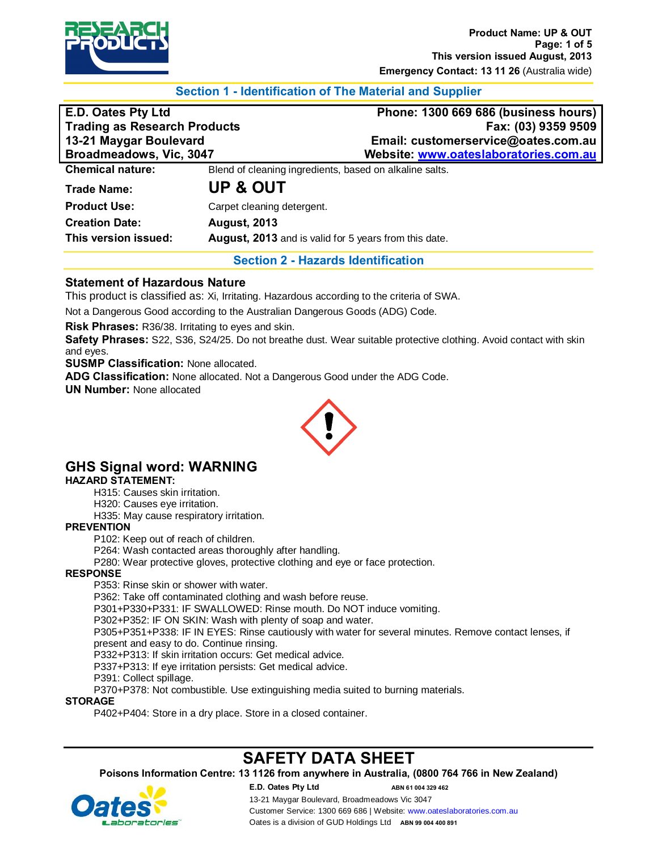

# **Section 1 - Identification of The Material and Supplier**

| <b>E.D. Oates Pty Ltd</b>           |                                                         | Phone: 1300 669 686 (business hours)  |
|-------------------------------------|---------------------------------------------------------|---------------------------------------|
| <b>Trading as Research Products</b> |                                                         | Fax: (03) 9359 9509                   |
| 13-21 Maygar Boulevard              |                                                         | Email: customerservice@oates.com.au   |
| Broadmeadows, Vic, 3047             |                                                         | Website: www.oateslaboratories.com.au |
| <b>Chemical nature:</b>             | Blend of cleaning ingredients, based on alkaline salts. |                                       |
| <b>Trade Name:</b>                  | <b>UP &amp; OUT</b>                                     |                                       |
| <b>Product Use:</b>                 | Carpet cleaning detergent.                              |                                       |
| <b>Creation Date:</b>               | <b>August, 2013</b>                                     |                                       |
| This version issued:                | August, 2013 and is valid for 5 years from this date.   |                                       |

**Section 2 - Hazards Identification**

# **Statement of Hazardous Nature**

This product is classified as: Xi, Irritating. Hazardous according to the criteria of SWA.

Not a Dangerous Good according to the Australian Dangerous Goods (ADG) Code.

**Risk Phrases:** R36/38. Irritating to eyes and skin.

**Safety Phrases:** S22, S36, S24/25. Do not breathe dust. Wear suitable protective clothing. Avoid contact with skin and eyes.

**SUSMP Classification:** None allocated.

**ADG Classification:** None allocated. Not a Dangerous Good under the ADG Code.

**UN Number:** None allocated



# **GHS Signal word: WARNING**

## **HAZARD STATEMENT:**

H315: Causes skin irritation.

H320: Causes eye irritation.

H335: May cause respiratory irritation.

#### **PREVENTION**

P102: Keep out of reach of children.

P264: Wash contacted areas thoroughly after handling.

P280: Wear protective gloves, protective clothing and eye or face protection.

#### **RESPONSE**

P353: Rinse skin or shower with water.

P362: Take off contaminated clothing and wash before reuse.

P301+P330+P331: IF SWALLOWED: Rinse mouth. Do NOT induce vomiting.

P302+P352: IF ON SKIN: Wash with plenty of soap and water.

P305+P351+P338: IF IN EYES: Rinse cautiously with water for several minutes. Remove contact lenses, if present and easy to do. Continue rinsing.

P332+P313: If skin irritation occurs: Get medical advice.

P337+P313: If eye irritation persists: Get medical advice.

P391: Collect spillage.

P370+P378: Not combustible. Use extinguishing media suited to burning materials.

#### **STORAGE**

P402+P404: Store in a dry place. Store in a closed container.

# **SAFETY DATA SHEET**

**Poisons Information Centre: 13 1126 from anywhere in Australia, (0800 764 766 in New Zealand)**

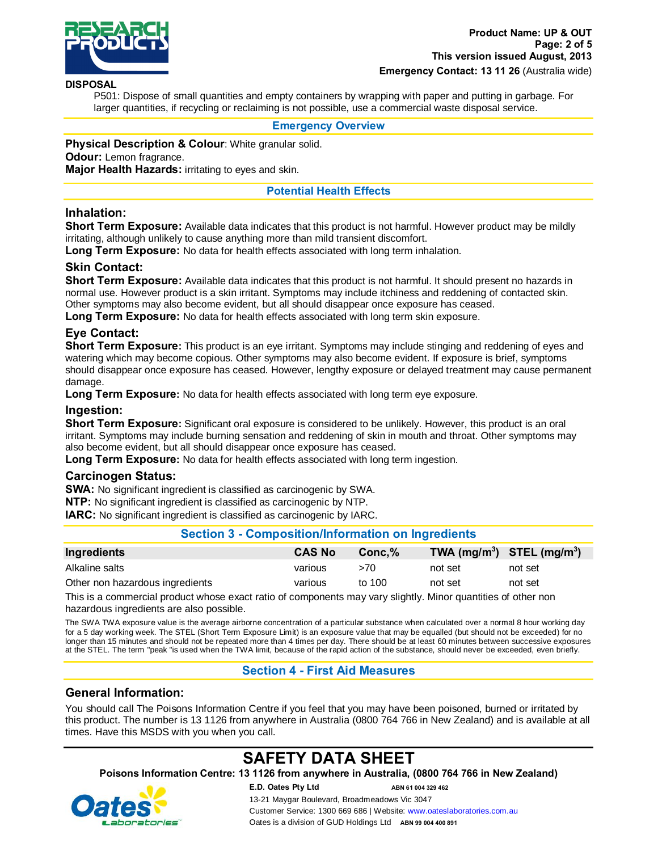

#### **DISPOSAL**

P501: Dispose of small quantities and empty containers by wrapping with paper and putting in garbage. For larger quantities, if recycling or reclaiming is not possible, use a commercial waste disposal service.

#### **Emergency Overview**

**Physical Description & Colour**: White granular solid.

#### **Odour:** Lemon fragrance.

**Major Health Hazards:** irritating to eyes and skin.

## **Potential Health Effects**

# **Inhalation:**

**Short Term Exposure:** Available data indicates that this product is not harmful. However product may be mildly irritating, although unlikely to cause anything more than mild transient discomfort.

**Long Term Exposure:** No data for health effects associated with long term inhalation.

## **Skin Contact:**

**Short Term Exposure:** Available data indicates that this product is not harmful. It should present no hazards in normal use. However product is a skin irritant. Symptoms may include itchiness and reddening of contacted skin. Other symptoms may also become evident, but all should disappear once exposure has ceased.

**Long Term Exposure:** No data for health effects associated with long term skin exposure.

## **Eye Contact:**

**Short Term Exposure:** This product is an eye irritant. Symptoms may include stinging and reddening of eyes and watering which may become copious. Other symptoms may also become evident. If exposure is brief, symptoms should disappear once exposure has ceased. However, lengthy exposure or delayed treatment may cause permanent damage.

**Long Term Exposure:** No data for health effects associated with long term eye exposure.

#### **Ingestion:**

**Short Term Exposure:** Significant oral exposure is considered to be unlikely. However, this product is an oral irritant. Symptoms may include burning sensation and reddening of skin in mouth and throat. Other symptoms may also become evident, but all should disappear once exposure has ceased.

**Long Term Exposure:** No data for health effects associated with long term ingestion.

#### **Carcinogen Status:**

**SWA:** No significant ingredient is classified as carcinogenic by SWA.

**NTP:** No significant ingredient is classified as carcinogenic by NTP.

**IARC:** No significant ingredient is classified as carcinogenic by IARC.

#### **Section 3 - Composition/Information on Ingredients**

| Ingredients                     | <b>CAS No</b> | $Conc.\%$ | TWA $(mg/m^3)$ STEL $(mg/m^3)$ |         |
|---------------------------------|---------------|-----------|--------------------------------|---------|
| Alkaline salts                  | various       | >70       | not set                        | not set |
| Other non hazardous ingredients | various       | to 100    | not set                        | not set |

This is a commercial product whose exact ratio of components may vary slightly. Minor quantities of other non hazardous ingredients are also possible.

The SWA TWA exposure value is the average airborne concentration of a particular substance when calculated over a normal 8 hour working day for a 5 day working week. The STEL (Short Term Exposure Limit) is an exposure value that may be equalled (but should not be exceeded) for no longer than 15 minutes and should not be repeated more than 4 times per day. There should be at least 60 minutes between successive exposures at the STEL. The term "peak "is used when the TWA limit, because of the rapid action of the substance, should never be exceeded, even briefly.

# **Section 4 - First Aid Measures**

# **General Information:**

You should call The Poisons Information Centre if you feel that you may have been poisoned, burned or irritated by this product. The number is 13 1126 from anywhere in Australia (0800 764 766 in New Zealand) and is available at all times. Have this MSDS with you when you call.

# **SAFETY DATA SHEET**

**Poisons Information Centre: 13 1126 from anywhere in Australia, (0800 764 766 in New Zealand)**

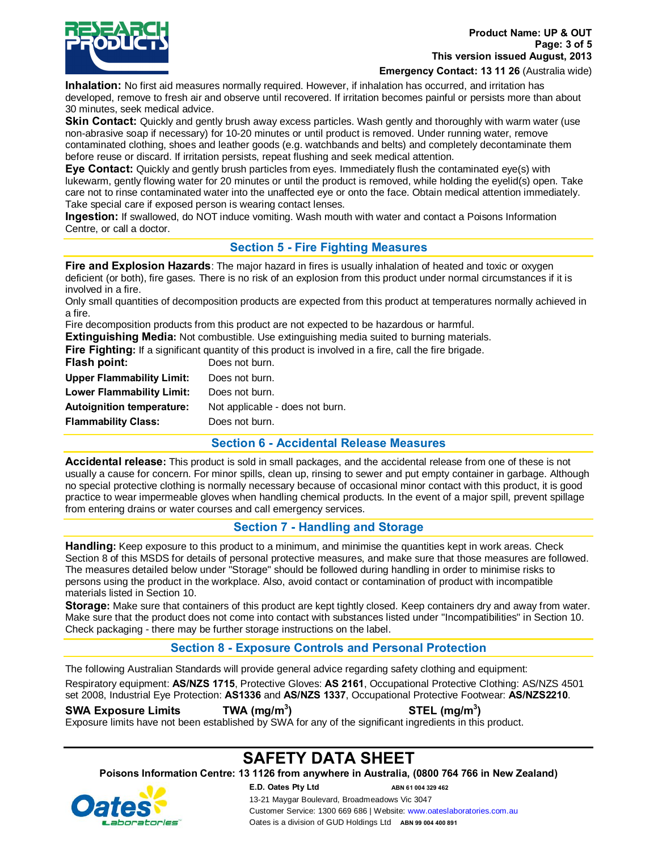

**Emergency Contact: 13 11 26** (Australia wide)

**Inhalation:** No first aid measures normally required. However, if inhalation has occurred, and irritation has developed, remove to fresh air and observe until recovered. If irritation becomes painful or persists more than about 30 minutes, seek medical advice.

**Skin Contact:** Quickly and gently brush away excess particles. Wash gently and thoroughly with warm water (use non-abrasive soap if necessary) for 10-20 minutes or until product is removed. Under running water, remove contaminated clothing, shoes and leather goods (e.g. watchbands and belts) and completely decontaminate them before reuse or discard. If irritation persists, repeat flushing and seek medical attention.

**Eye Contact:** Quickly and gently brush particles from eyes. Immediately flush the contaminated eye(s) with lukewarm, gently flowing water for 20 minutes or until the product is removed, while holding the eyelid(s) open. Take care not to rinse contaminated water into the unaffected eye or onto the face. Obtain medical attention immediately. Take special care if exposed person is wearing contact lenses.

**Ingestion:** If swallowed, do NOT induce vomiting. Wash mouth with water and contact a Poisons Information Centre, or call a doctor.

# **Section 5 - Fire Fighting Measures**

**Fire and Explosion Hazards**: The major hazard in fires is usually inhalation of heated and toxic or oxygen deficient (or both), fire gases. There is no risk of an explosion from this product under normal circumstances if it is involved in a fire.

Only small quantities of decomposition products are expected from this product at temperatures normally achieved in a fire.

Fire decomposition products from this product are not expected to be hazardous or harmful.

**Extinguishing Media:** Not combustible. Use extinguishing media suited to burning materials.<br>Fire Fighting: If a significant quantity of this product is involved in a fire pall the fire brigade. **Prings:** *If altertioned* in a fire, call the fire brigade.

|                                  | <b>Fire Fighting:</b> if a significant quantity of this product is involved in a fire, call the |
|----------------------------------|-------------------------------------------------------------------------------------------------|
| Flash point:                     | Does not burn.                                                                                  |
| <b>Upper Flammability Limit:</b> | Does not burn.                                                                                  |
| <b>Lower Flammability Limit:</b> | Does not burn.                                                                                  |
| <b>Autoignition temperature:</b> | Not applicable - does not burn.                                                                 |
| <b>Flammability Class:</b>       | Does not burn.                                                                                  |
|                                  |                                                                                                 |

**Section 6 - Accidental Release Measures**

**Accidental release:** This product is sold in small packages, and the accidental release from one of these is not usually a cause for concern. For minor spills, clean up, rinsing to sewer and put empty container in garbage. Although no special protective clothing is normally necessary because of occasional minor contact with this product, it is good practice to wear impermeable gloves when handling chemical products. In the event of a major spill, prevent spillage from entering drains or water courses and call emergency services.

# **Section 7 - Handling and Storage**

**Handling:** Keep exposure to this product to a minimum, and minimise the quantities kept in work areas. Check Section 8 of this MSDS for details of personal protective measures, and make sure that those measures are followed. The measures detailed below under "Storage" should be followed during handling in order to minimise risks to persons using the product in the workplace. Also, avoid contact or contamination of product with incompatible materials listed in Section 10.

**Storage:** Make sure that containers of this product are kept tightly closed. Keep containers dry and away from water. Make sure that the product does not come into contact with substances listed under "Incompatibilities" in Section 10. Check packaging - there may be further storage instructions on the label.

# **Section 8 - Exposure Controls and Personal Protection**

The following Australian Standards will provide general advice regarding safety clothing and equipment: Respiratory equipment: **AS/NZS 1715**, Protective Gloves: **AS 2161**, Occupational Protective Clothing: AS/NZS 4501 set 2008, Industrial Eye Protection: **AS1336** and **AS/NZS 1337**, Occupational Protective Footwear: **AS/NZS2210**.

**SWA Exposure Limits TWA (mg/m3**

**) STEL (mg/m3 )**

Exposure limits have not been established by SWA for any of the significant ingredients in this product.

# **SAFETY DATA SHEET**

**Poisons Information Centre: 13 1126 from anywhere in Australia, (0800 764 766 in New Zealand)**

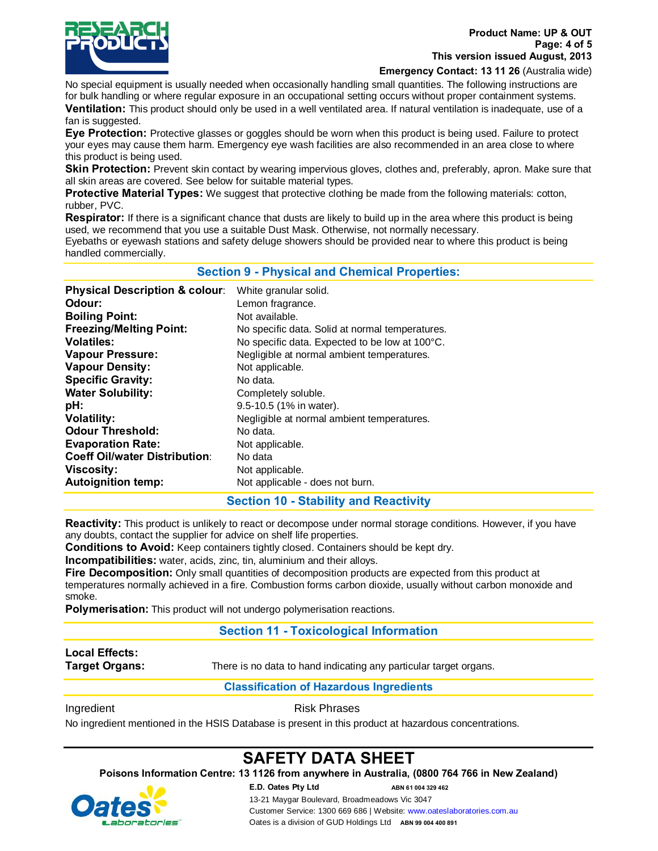

**Emergency Contact: 13 11 26** (Australia wide)

No special equipment is usually needed when occasionally handling small quantities. The following instructions are for bulk handling or where regular exposure in an occupational setting occurs without proper containment systems.

**Ventilation:** This product should only be used in a well ventilated area. If natural ventilation is inadequate, use of a fan is suggested.

**Eye Protection:** Protective glasses or goggles should be worn when this product is being used. Failure to protect your eyes may cause them harm. Emergency eye wash facilities are also recommended in an area close to where this product is being used.

Skin Protection: Prevent skin contact by wearing impervious gloves, clothes and, preferably, apron. Make sure that all skin areas are covered. See below for suitable material types.

**Protective Material Types:** We suggest that protective clothing be made from the following materials: cotton, rubber, PVC.

**Respirator:** If there is a significant chance that dusts are likely to build up in the area where this product is being used, we recommend that you use a suitable Dust Mask. Otherwise, not normally necessary.

Eyebaths or eyewash stations and safety deluge showers should be provided near to where this product is being handled commercially.

| <b>Section 9 - Physical and Chemical Properties:</b> |
|------------------------------------------------------|
|------------------------------------------------------|

| <b>Physical Description &amp; colour:</b> | White granular solid.                           |
|-------------------------------------------|-------------------------------------------------|
| Odour:                                    | Lemon fragrance.                                |
| <b>Boiling Point:</b>                     | Not available.                                  |
| <b>Freezing/Melting Point:</b>            | No specific data. Solid at normal temperatures. |
| <b>Volatiles:</b>                         | No specific data. Expected to be low at 100°C.  |
| <b>Vapour Pressure:</b>                   | Negligible at normal ambient temperatures.      |
| <b>Vapour Density:</b>                    | Not applicable.                                 |
| <b>Specific Gravity:</b>                  | No data.                                        |
| <b>Water Solubility:</b>                  | Completely soluble.                             |
| pH:                                       | 9.5-10.5 (1% in water).                         |
| <b>Volatility:</b>                        | Negligible at normal ambient temperatures.      |
| <b>Odour Threshold:</b>                   | No data.                                        |
| <b>Evaporation Rate:</b>                  | Not applicable.                                 |
| <b>Coeff Oil/water Distribution:</b>      | No data                                         |
| Viscosity:                                | Not applicable.                                 |
| <b>Autoignition temp:</b>                 | Not applicable - does not burn.                 |

# **Section 10 - Stability and Reactivity**

**Reactivity:** This product is unlikely to react or decompose under normal storage conditions. However, if you have any doubts, contact the supplier for advice on shelf life properties.

**Conditions to Avoid:** Keep containers tightly closed. Containers should be kept dry.

**Incompatibilities:** water, acids, zinc, tin, aluminium and their alloys.

**Fire Decomposition:** Only small quantities of decomposition products are expected from this product at temperatures normally achieved in a fire. Combustion forms carbon dioxide, usually without carbon monoxide and smoke.

**Polymerisation:** This product will not undergo polymerisation reactions.

# **Section 11 - Toxicological Information**

# **Local Effects:**

**Target Organs:** There is no data to hand indicating any particular target organs.

# **Classification of Hazardous Ingredients**

Ingredient **Risk Phrases** 

No ingredient mentioned in the HSIS Database is present in this product at hazardous concentrations.

# **SAFETY DATA SHEET**

**Poisons Information Centre: 13 1126 from anywhere in Australia, (0800 764 766 in New Zealand)**